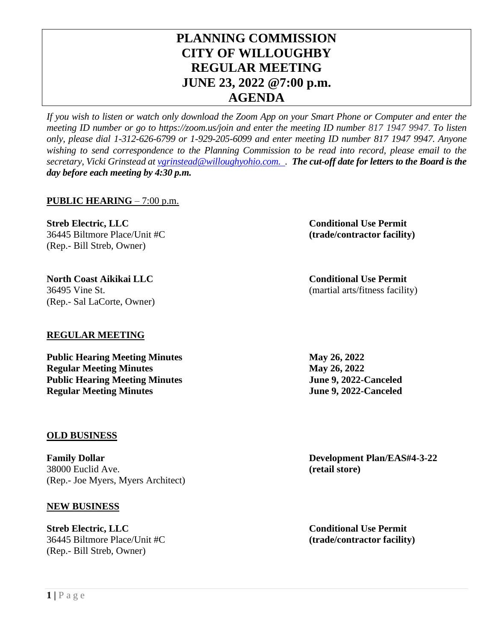# **PLANNING COMMISSION CITY OF WILLOUGHBY REGULAR MEETING JUNE 23, 2022 @7:00 p.m. AGENDA**

*If you wish to listen or watch only download the Zoom App on your Smart Phone or Computer and enter the meeting ID number or go to https://zoom.us/join and enter the meeting ID number 817 1947 9947. To listen only, please dial 1-312-626-6799 or 1-929-205-6099 and enter meeting ID number 817 1947 9947. Anyone wishing to send correspondence to the Planning Commission to be read into record, please email to the secretary, Vicki Grinstead at [vgrinstead@willoughyohio.com.](mailto:vgrinstead@willoughyohio.com) . The cut-off date for letters to the Board is the day before each meeting by 4:30 p.m.* 

## **PUBLIC HEARING** – 7:00 p.m.

**Streb Electric, LLC Conditional Use Permit** 36445 Biltmore Place/Unit #C **(trade/contractor facility)** (Rep.- Bill Streb, Owner)

**North Coast Aikikai LLC Conditional Use Permit** 36495 Vine St. (martial arts/fitness facility) (Rep.- Sal LaCorte, Owner)

## **REGULAR MEETING**

**Public Hearing Meeting Minutes May 26, 2022 Regular Meeting Minutes May 26, 2022 Public Hearing Meeting Minutes June 9, 2022-Canceled Regular Meeting Minutes June 9, 2022-Canceled** 

### **OLD BUSINESS**

**Family Dollar Development Plan/EAS#4-3-22** 38000 Euclid Ave. **(retail store)** (Rep.- Joe Myers, Myers Architect)

### **NEW BUSINESS**

**Streb Electric, LLC Conditional Use Permit** 36445 Biltmore Place/Unit #C **(trade/contractor facility)** (Rep.- Bill Streb, Owner)